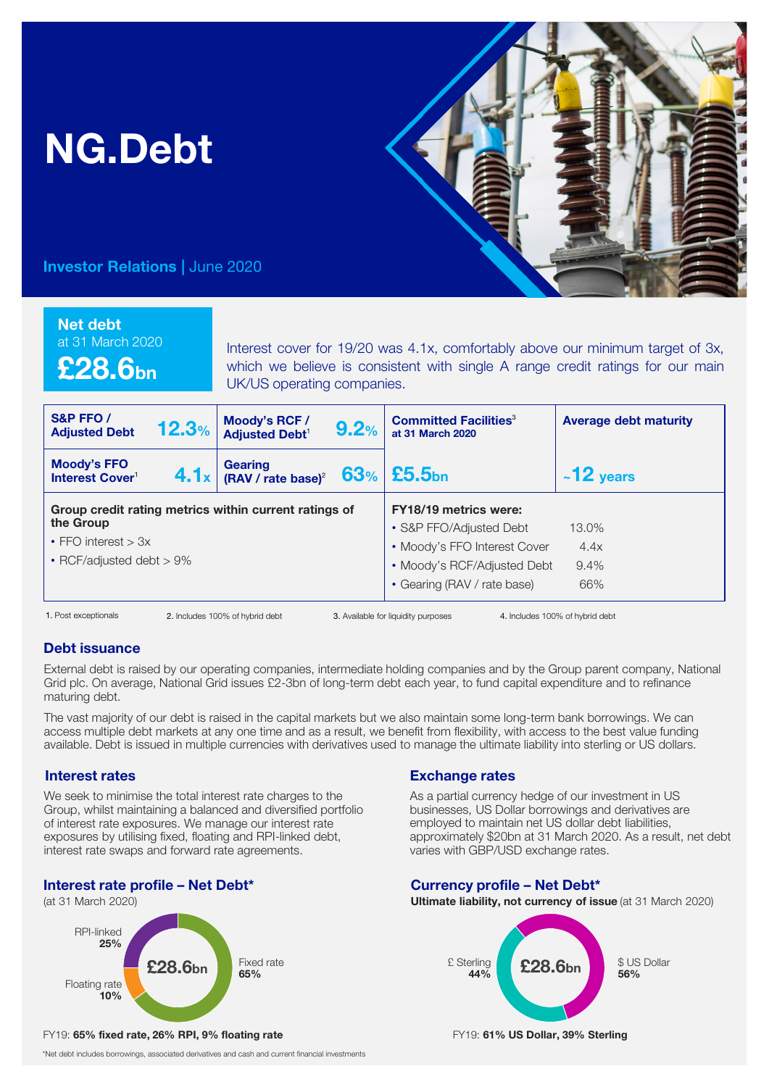# NG.Debt



# Investor Relations | June 2020

### Net debt

at 31 March 2020

£28.6bn

Interest cover for 19/20 was 4.1x, comfortably above our minimum target of 3x, which we believe is consistent with single A range credit ratings for our main UK/US operating companies.

| S&P FFO/<br><b>Adjusted Debt</b>                                  | 12.3% | Moody's RCF /<br><b>Adjusted Debt<sup>1</sup></b>                                 | 9.2% | <b>Committed Facilities<sup>3</sup></b><br>at 31 March 2020                                                                                           | <b>Average debt maturity</b>    |
|-------------------------------------------------------------------|-------|-----------------------------------------------------------------------------------|------|-------------------------------------------------------------------------------------------------------------------------------------------------------|---------------------------------|
| Moody's FFO<br>Interest Cover <sup>1</sup>                        |       | <b>4.1</b> $x \mid$ Gearing<br><b>4.1</b> $x \mid$ (RAV / rate base) <sup>2</sup> |      | $63%$ £5.5bn                                                                                                                                          | $~12$ years                     |
| the Group<br>• FFO interest $> 3x$<br>• RCF/adjusted debt $> 9\%$ |       | Group credit rating metrics within current ratings of                             |      | <b>FY18/19 metrics were:</b><br>• S&P FFO/Adjusted Debt<br>• Moody's FFO Interest Cover<br>• Moody's RCF/Adjusted Debt<br>• Gearing (RAV / rate base) | 13.0%<br>4.4x<br>9.4%<br>66%    |
| 1. Post exceptionals                                              |       | 2. Includes 100% of hybrid debt                                                   |      | 3. Available for liquidity purposes                                                                                                                   | 4. Includes 100% of hybrid debt |

1. Post exceptionals

# Debt issuance

External debt is raised by our operating companies, intermediate holding companies and by the Group parent company, National Grid plc. On average, National Grid issues £2-3bn of long-term debt each year, to fund capital expenditure and to refinance maturing debt.

The vast majority of our debt is raised in the capital markets but we also maintain some long-term bank borrowings. We can access multiple debt markets at any one time and as a result, we benefit from flexibility, with access to the best value funding available. Debt is issued in multiple currencies with derivatives used to manage the ultimate liability into sterling or US dollars.

## Interest rates

We seek to minimise the total interest rate charges to the Group, whilst maintaining a balanced and diversified portfolio of interest rate exposures. We manage our interest rate exposures by utilising fixed, floating and RPI-linked debt, interest rate swaps and forward rate agreements.

# Interest rate profile – Net Debt\*

(at 31 March 2020)



### FY19: 65% fixed rate, 26% RPI, 9% floating rate FY19: 61% US Dollar, 39% Sterling

\*Net debt includes borrowings, associated derivatives and cash and current financial investments

# Exchange rates

As a partial currency hedge of our investment in US businesses, US Dollar borrowings and derivatives are employed to maintain net US dollar debt liabilities, approximately \$20bn at 31 March 2020. As a result, net debt varies with GBP/USD exchange rates.

# Currency profile – Net Debt\*

Ultimate liability, not currency of issue (at 31 March 2020)